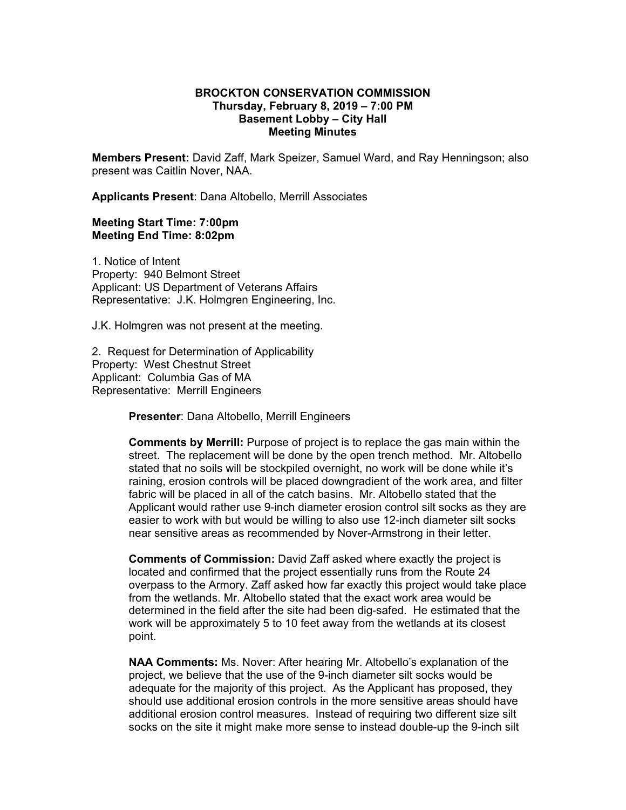## **BROCKTON CONSERVATION COMMISSION Thursday, February 8, 2019 – 7:00 PM Basement Lobby – City Hall Meeting Minutes**

**Members Present:** David Zaff, Mark Speizer, Samuel Ward, and Ray Henningson; also present was Caitlin Nover, NAA.

**Applicants Present**: Dana Altobello, Merrill Associates

## **Meeting Start Time: 7:00pm Meeting End Time: 8:02pm**

1. Notice of Intent Property: 940 Belmont Street Applicant: US Department of Veterans Affairs Representative: J.K. Holmgren Engineering, Inc.

J.K. Holmgren was not present at the meeting.

2. Request for Determination of Applicability Property: West Chestnut Street Applicant: Columbia Gas of MA Representative: Merrill Engineers

**Presenter**: Dana Altobello, Merrill Engineers

**Comments by Merrill:** Purpose of project is to replace the gas main within the street. The replacement will be done by the open trench method. Mr. Altobello stated that no soils will be stockpiled overnight, no work will be done while it's raining, erosion controls will be placed downgradient of the work area, and filter fabric will be placed in all of the catch basins. Mr. Altobello stated that the Applicant would rather use 9-inch diameter erosion control silt socks as they are easier to work with but would be willing to also use 12-inch diameter silt socks near sensitive areas as recommended by Nover-Armstrong in their letter.

**Comments of Commission:** David Zaff asked where exactly the project is located and confirmed that the project essentially runs from the Route 24 overpass to the Armory. Zaff asked how far exactly this project would take place from the wetlands. Mr. Altobello stated that the exact work area would be determined in the field after the site had been dig-safed. He estimated that the work will be approximately 5 to 10 feet away from the wetlands at its closest point.

**NAA Comments:** Ms. Nover: After hearing Mr. Altobello's explanation of the project, we believe that the use of the 9-inch diameter silt socks would be adequate for the majority of this project. As the Applicant has proposed, they should use additional erosion controls in the more sensitive areas should have additional erosion control measures. Instead of requiring two different size silt socks on the site it might make more sense to instead double-up the 9-inch silt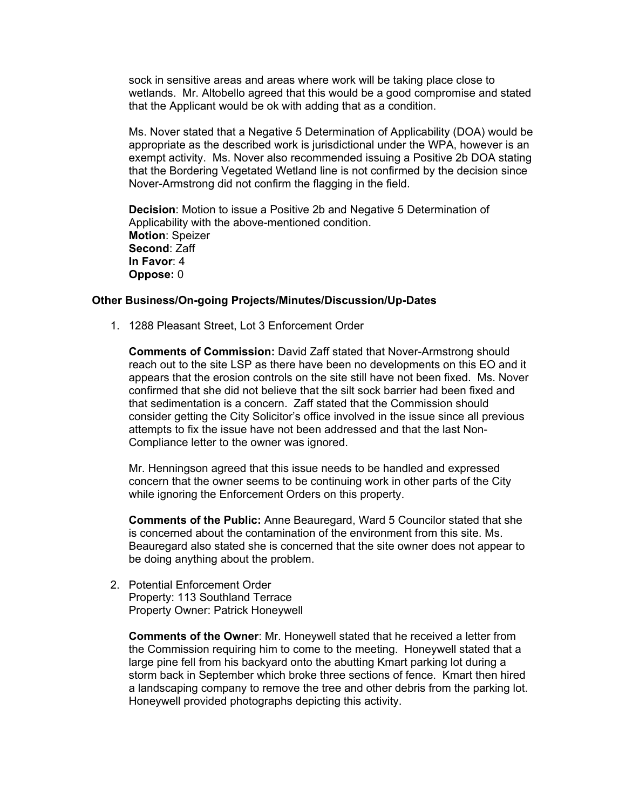sock in sensitive areas and areas where work will be taking place close to wetlands. Mr. Altobello agreed that this would be a good compromise and stated that the Applicant would be ok with adding that as a condition.

Ms. Nover stated that a Negative 5 Determination of Applicability (DOA) would be appropriate as the described work is jurisdictional under the WPA, however is an exempt activity. Ms. Nover also recommended issuing a Positive 2b DOA stating that the Bordering Vegetated Wetland line is not confirmed by the decision since Nover-Armstrong did not confirm the flagging in the field.

**Decision**: Motion to issue a Positive 2b and Negative 5 Determination of Applicability with the above-mentioned condition. **Motion**: Speizer **Second**: Zaff **In Favor**: 4 **Oppose:** 0

## **Other Business/On-going Projects/Minutes/Discussion/Up-Dates**

1. 1288 Pleasant Street, Lot 3 Enforcement Order

**Comments of Commission:** David Zaff stated that Nover-Armstrong should reach out to the site LSP as there have been no developments on this EO and it appears that the erosion controls on the site still have not been fixed. Ms. Nover confirmed that she did not believe that the silt sock barrier had been fixed and that sedimentation is a concern. Zaff stated that the Commission should consider getting the City Solicitor's office involved in the issue since all previous attempts to fix the issue have not been addressed and that the last Non-Compliance letter to the owner was ignored.

Mr. Henningson agreed that this issue needs to be handled and expressed concern that the owner seems to be continuing work in other parts of the City while ignoring the Enforcement Orders on this property.

**Comments of the Public:** Anne Beauregard, Ward 5 Councilor stated that she is concerned about the contamination of the environment from this site. Ms. Beauregard also stated she is concerned that the site owner does not appear to be doing anything about the problem.

2. Potential Enforcement Order Property: 113 Southland Terrace Property Owner: Patrick Honeywell

**Comments of the Owner**: Mr. Honeywell stated that he received a letter from the Commission requiring him to come to the meeting. Honeywell stated that a large pine fell from his backyard onto the abutting Kmart parking lot during a storm back in September which broke three sections of fence. Kmart then hired a landscaping company to remove the tree and other debris from the parking lot. Honeywell provided photographs depicting this activity.